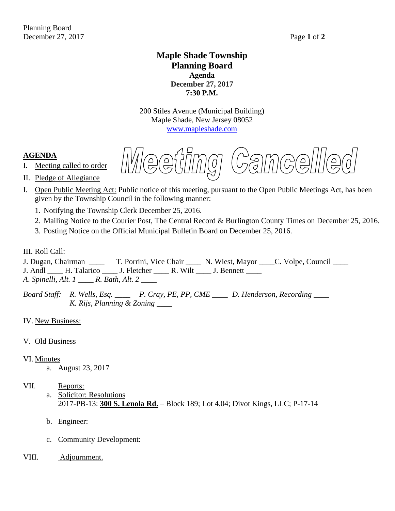# **Maple Shade Township Planning Board Agenda December 27, 2017 7:30 P.M.**

200 Stiles Avenue (Municipal Building) Maple Shade, New Jersey 08052 [www.mapleshade.com](http://www.mapleshade.com/)

### **AGENDA**

I. Meeting called to order

Wee  $\bigoplus$ GUNG,  $C$ amcelll

- II. Pledge of Allegiance
- I. Open Public Meeting Act: Public notice of this meeting, pursuant to the Open Public Meetings Act, has been given by the Township Council in the following manner:
	- 1. Notifying the Township Clerk December 25, 2016.
	- 2. Mailing Notice to the Courier Post, The Central Record & Burlington County Times on December 25, 2016.
	- 3. Posting Notice on the Official Municipal Bulletin Board on December 25, 2016.

III. <u>Roll Call:</u><br>J. Dugan, Chairman T. Porrini, Vice Chair \_\_\_\_ N. Wiest, Mayor \_\_\_\_C. Volpe, Council \_\_\_\_ J. Andl \_\_\_\_ H. Talarico \_\_\_\_\_ J. Fletcher \_\_\_\_\_ R. Wilt \_\_\_\_ J. Bennett \_\_\_\_

*A*. *Spinelli, Alt. 1 \_\_\_\_ R. Bath, Alt. 2 \_\_\_\_*

*Board Staff: R. Wells, Esq. \_\_\_\_ P. Cray, PE, PP, CME \_\_\_\_ D. Henderson, Recording \_\_\_\_ K. Rijs, Planning & Zoning \_\_\_\_*

IV. New Business:

#### V. Old Business

#### VI. Minutes

a. August 23, 2017

- a. Solicitor: Resolutions 2017-PB-13: **300 S. Lenola Rd.** – Block 189; Lot 4.04; Divot Kings, LLC; P-17-14
- b. Engineer:
- c. Community Development:
- VIII. Adjournment.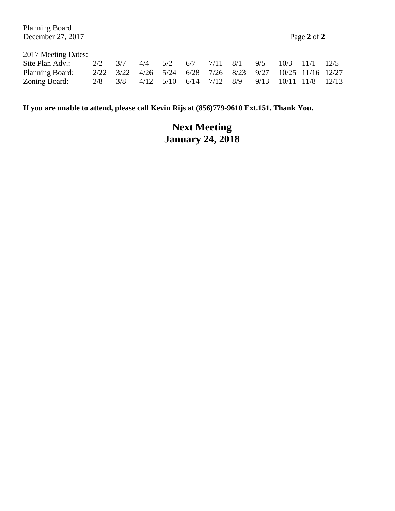Planning Board December 27, 2017 Page **2** of **2**

2017 Meeting Dates:

| Site Plan Adv.: |                                                           | $\Delta/\Delta$ |                         | 6/7 | 8/1 | 9/5 | $10/3$ 11/1           |  |
|-----------------|-----------------------------------------------------------|-----------------|-------------------------|-----|-----|-----|-----------------------|--|
| Planning Board: | 2/22 3/22 4/26 5/24 6/28 7/26 8/23 9/27 10/25 11/16 12/27 |                 |                         |     |     |     |                       |  |
| Zoning Board:   |                                                           |                 | 4/12 5/10 6/14 7/12 8/9 |     |     |     | 9/13 10/11 11/8 12/13 |  |

**If you are unable to attend, please call Kevin Rijs at (856)779-9610 Ext.151. Thank You.**

# **Next Meeting January 24, 2018**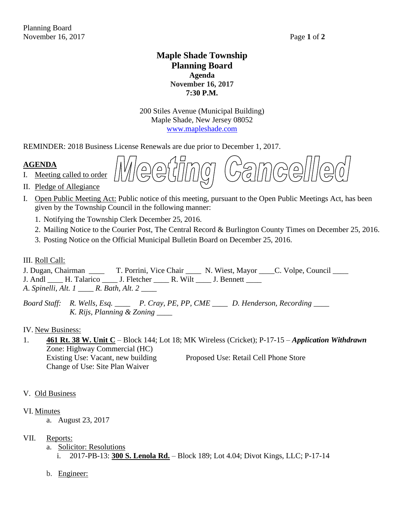# **Maple Shade Township Planning Board Agenda November 16, 2017 7:30 P.M.**

200 Stiles Avenue (Municipal Building) Maple Shade, New Jersey 08052 [www.mapleshade.com](http://www.mapleshade.com/)

REMINDER: 2018 Business License Renewals are due prior to December 1, 2017.

# **AGENDA**

I. Meeting called to order

- II. Pledge of Allegiance
- I. Open Public Meeting Act: Public notice of this meeting, pursuant to the Open Public Meetings Act, has been given by the Township Council in the following manner:
	- 1. Notifying the Township Clerk December 25, 2016.
	- 2. Mailing Notice to the Courier Post, The Central Record & Burlington County Times on December 25, 2016.
	- 3. Posting Notice on the Official Municipal Bulletin Board on December 25, 2016.

### III. Roll Call:

J. Dugan, Chairman \_\_\_\_ T. Porrini, Vice Chair \_\_\_\_ N. Wiest, Mayor \_\_\_\_C. Volpe, Council \_\_\_\_ J. Andl \_\_\_\_ H. Talarico \_\_\_\_ J. Fletcher \_\_\_\_ R. Wilt \_\_\_\_ J. Bennett \_\_\_\_ *A*. *Spinelli, Alt. 1 \_\_\_\_ R. Bath, Alt. 2 \_\_\_\_*

*Board Staff: R. Wells, Esq. \_\_\_\_ P. Cray, PE, PP, CME \_\_\_\_ D. Henderson, Recording \_\_\_\_ K. Rijs, Planning & Zoning \_\_\_\_*

### IV. New Business:

1. **461 Rt. 38 W. Unit C** – Block 144; Lot 18; MK Wireless (Cricket); P-17-15 – *Application Withdrawn* Zone: Highway Commercial (HC) Existing Use: Vacant, new building Proposed Use: Retail Cell Phone Store Change of Use: Site Plan Waiver

### V. Old Business

### VI. Minutes

- a. August 23, 2017
- VII. Reports:
	- a. Solicitor: Resolutions i. 2017-PB-13: **300 S. Lenola Rd.** – Block 189; Lot 4.04; Divot Kings, LLC; P-17-14
	- b. Engineer: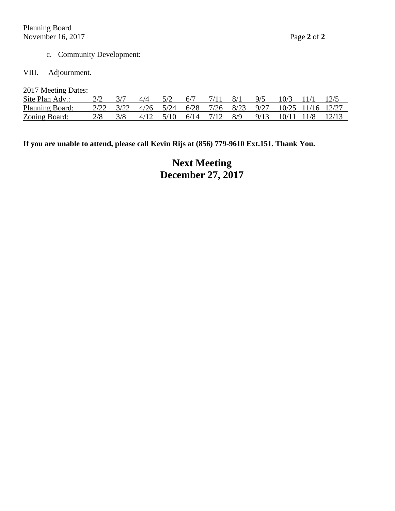# c. Community Development:

### VIII. Adjournment.

#### 2017 Meeting Dates:

| Site Plan Adv.: |                                                           | 4/4       | 6/7 |                     | 8/1 | 9/5  | 10/3       |       |
|-----------------|-----------------------------------------------------------|-----------|-----|---------------------|-----|------|------------|-------|
| Planning Board: | 2/22 3/22 4/26 5/24 6/28 7/26 8/23 9/27 10/25 11/16 12/27 |           |     |                     |     |      |            |       |
| Zoning Board:   |                                                           | 4/12 5/10 |     | $6/14$ $7/12$ $8/9$ |     | 9/13 | 10/11 11/8 | 12/13 |

# **If you are unable to attend, please call Kevin Rijs at (856) 779-9610 Ext.151. Thank You.**

# **Next Meeting December 27, 2017**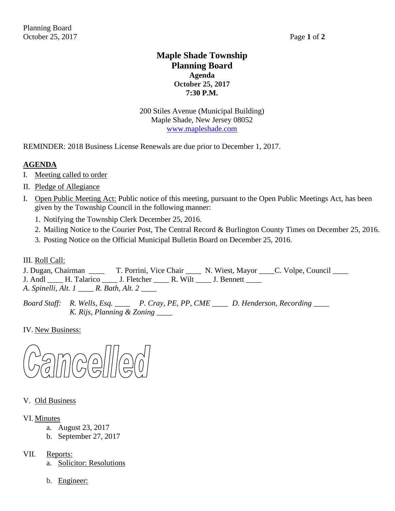# **Maple Shade Township Planning Board Agenda October 25, 2017 7:30 P.M.**

200 Stiles Avenue (Municipal Building) Maple Shade, New Jersey 08052 [www.mapleshade.com](http://www.mapleshade.com/)

REMINDER: 2018 Business License Renewals are due prior to December 1, 2017.

# **AGENDA**

- I. Meeting called to order
- II. Pledge of Allegiance
- I. Open Public Meeting Act: Public notice of this meeting, pursuant to the Open Public Meetings Act, has been given by the Township Council in the following manner:
	- 1. Notifying the Township Clerk December 25, 2016.
	- 2. Mailing Notice to the Courier Post, The Central Record & Burlington County Times on December 25, 2016.
	- 3. Posting Notice on the Official Municipal Bulletin Board on December 25, 2016.

III. Roll Call:

J. Dugan, Chairman \_\_\_\_ T. Porrini, Vice Chair \_\_\_\_ N. Wiest, Mayor \_\_\_\_C. Volpe, Council \_\_\_\_ J. Andl \_\_\_\_ H. Talarico \_\_\_\_ J. Fletcher \_\_\_\_ R. Wilt \_\_\_\_ J. Bennett \_\_\_\_ *A*. *Spinelli, Alt. 1 \_\_\_\_ R. Bath, Alt. 2 \_\_\_\_*

*Board Staff: R. Wells, Esq. \_\_\_\_ P. Cray, PE, PP, CME \_\_\_\_ D. Henderson, Recording \_\_\_\_ K. Rijs, Planning & Zoning \_\_\_\_*

IV. New Business:



### V. Old Business

### VI. Minutes

- a. August 23, 2017
- b. September 27, 2017
- VII. Reports:
	- a. Solicitor: Resolutions
	- b. Engineer: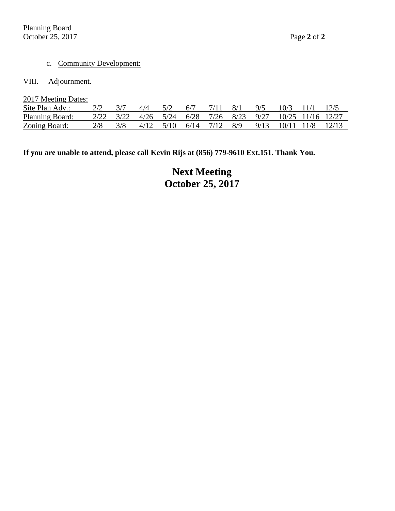#### c. Community Development:

#### VIII. Adjournment.

| 2017 Meeting Dates:  |      |      |             |      |      |           |     |      |       |                   |       |
|----------------------|------|------|-------------|------|------|-----------|-----|------|-------|-------------------|-------|
| Site Plan Adv.:      |      | 3/7  | 4/4         | 5/2  | 6/7  | 7/11      | 8/1 | 9/5  | 10/3  | $-11/1$           | 12/5  |
| Planning Board:      | 2/22 | 3/22 | $4/26$ 5/24 |      | 6/28 | 7/26 8/23 |     | 9/27 |       | 10/25 11/16 12/27 |       |
| <b>Zoning Board:</b> | 2/8  | 3/8  | 4/12        | 5/10 | 6/14 | 7/12      | 8/9 | 9/13 | 10/11 | 11/8              | 12/13 |

**If you are unable to attend, please call Kevin Rijs at (856) 779-9610 Ext.151. Thank You.**

**Next Meeting October 25, 2017**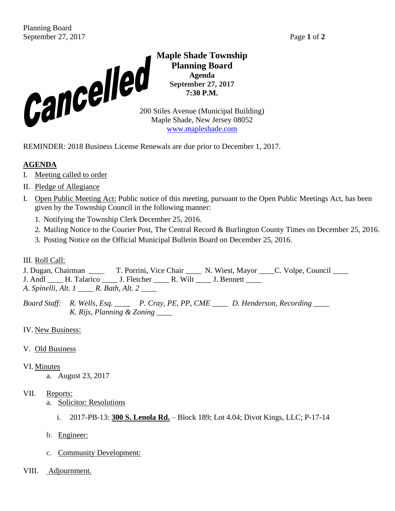

**Maple Shade Township Planning Board Agenda September 27, 2017 7:30 P.M.**

Maple Shade, New Jersey 08052 [www.mapleshade.com](http://www.mapleshade.com/)

REMINDER: 2018 Business License Renewals are due prior to December 1, 2017.

# **AGENDA**

- I. Meeting called to order
- II. Pledge of Allegiance
- I. Open Public Meeting Act: Public notice of this meeting, pursuant to the Open Public Meetings Act, has been given by the Township Council in the following manner:
	- 1. Notifying the Township Clerk December 25, 2016.
	- 2. Mailing Notice to the Courier Post, The Central Record & Burlington County Times on December 25, 2016.
	- 3. Posting Notice on the Official Municipal Bulletin Board on December 25, 2016.

# III. Roll Call:

J. Dugan, Chairman \_\_\_\_ T. Porrini, Vice Chair \_\_\_\_ N. Wiest, Mayor \_\_\_\_C. Volpe, Council \_\_\_\_ J. Andl \_\_\_\_ H. Talarico \_\_\_\_ J. Fletcher \_\_\_\_ R. Wilt \_\_\_\_ J. Bennett \_\_\_\_ *A*. *Spinelli, Alt. 1 \_\_\_\_ R. Bath, Alt. 2 \_\_\_\_*

*Board Staff: R. Wells, Esq. \_\_\_\_ P. Cray, PE, PP, CME \_\_\_\_ D. Henderson, Recording \_\_\_\_ K. Rijs, Planning & Zoning \_\_\_\_*

# IV. New Business:

# V. Old Business

- VI. Minutes
	- a. August 23, 2017

- a. Solicitor: Resolutions
	- i. 2017-PB-13: **300 S. Lenola Rd.** Block 189; Lot 4.04; Divot Kings, LLC; P-17-14
- b. Engineer:
- c. Community Development:
- VIII. Adjournment.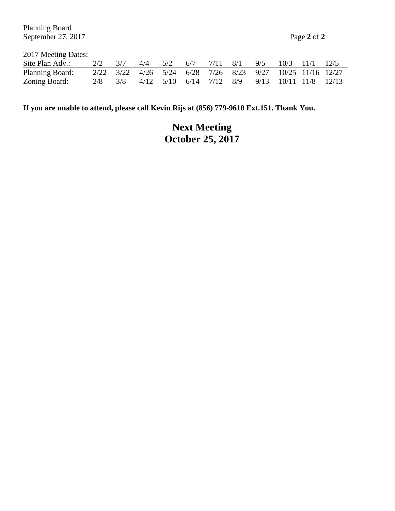Planning Board September 27, 2017 **Page 2** of 2

2017 Meeting Dates:

| Site Plan Adv.: |                                                           | $\Delta/\Delta$ |                         | 6/7 | 8/1 | 9/5 | $10/3$ 11/1           |  |
|-----------------|-----------------------------------------------------------|-----------------|-------------------------|-----|-----|-----|-----------------------|--|
| Planning Board: | 2/22 3/22 4/26 5/24 6/28 7/26 8/23 9/27 10/25 11/16 12/27 |                 |                         |     |     |     |                       |  |
| Zoning Board:   |                                                           |                 | 4/12 5/10 6/14 7/12 8/9 |     |     |     | 9/13 10/11 11/8 12/13 |  |

**If you are unable to attend, please call Kevin Rijs at (856) 779-9610 Ext.151. Thank You.**

**Next Meeting October 25, 2017**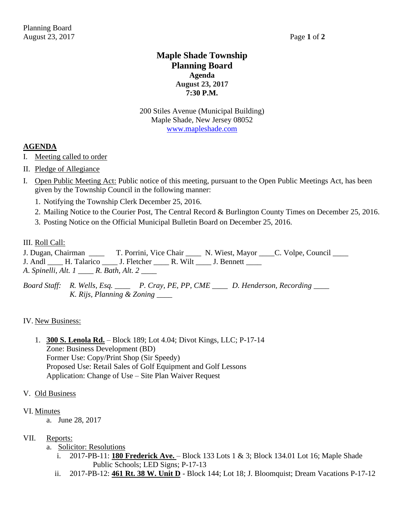# **Maple Shade Township Planning Board Agenda August 23, 2017 7:30 P.M.**

200 Stiles Avenue (Municipal Building) Maple Shade, New Jersey 08052 [www.mapleshade.com](http://www.mapleshade.com/)

### **AGENDA**

- I. Meeting called to order
- II. Pledge of Allegiance
- I. Open Public Meeting Act: Public notice of this meeting, pursuant to the Open Public Meetings Act, has been given by the Township Council in the following manner:
	- 1. Notifying the Township Clerk December 25, 2016.
	- 2. Mailing Notice to the Courier Post, The Central Record & Burlington County Times on December 25, 2016.
	- 3. Posting Notice on the Official Municipal Bulletin Board on December 25, 2016.

#### III. Roll Call:

- J. Dugan, Chairman  $\qquad$  T. Porrini, Vice Chair  $\qquad$  N. Wiest, Mayor  $\qquad$  C. Volpe, Council  $\qquad$
- J. Andl \_\_\_\_ H. Talarico \_\_\_\_ J. Fletcher \_\_\_\_ R. Wilt \_\_\_\_ J. Bennett \_\_\_\_
- *A*. *Spinelli, Alt. 1 \_\_\_\_ R. Bath, Alt. 2 \_\_\_\_*
- *Board Staff: R. Wells, Esq. \_\_\_\_ P. Cray, PE, PP, CME \_\_\_\_ D. Henderson, Recording \_\_\_\_ K. Rijs, Planning & Zoning \_\_\_\_*

#### IV. New Business:

1. **300 S. Lenola Rd.** – Block 189; Lot 4.04; Divot Kings, LLC; P-17-14 Zone: Business Development (BD) Former Use: Copy/Print Shop (Sir Speedy) Proposed Use: Retail Sales of Golf Equipment and Golf Lessons Application: Change of Use – Site Plan Waiver Request

#### V. Old Business

#### VI. Minutes

a. June 28, 2017

- a. Solicitor: Resolutions
	- i. 2017-PB-11: **180 Frederick Ave.**  Block 133 Lots 1 & 3; Block 134.01 Lot 16; Maple Shade Public Schools; LED Signs; P-17-13
	- ii. 2017-PB-12: **461 Rt. 38 W. Unit D** Block 144; Lot 18; J. Bloomquist; Dream Vacations P-17-12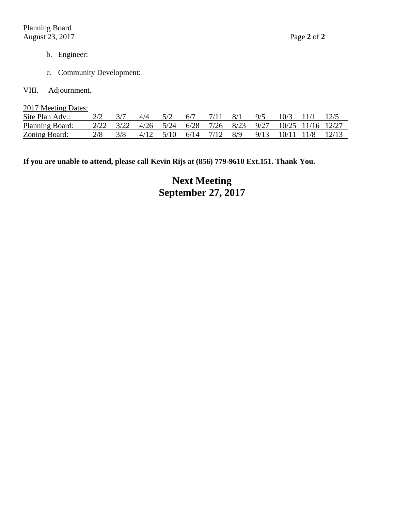- b. Engineer:
- c. Community Development:
- VIII. Adjournment.

2017 Meeting Dates:

| Site Plan Adv.:        |                                                                                                                                                                         | 4/4 | 6/7 | 7/11 8/1 |                                                                 | Q/5 | 10/3 11/1 |  |
|------------------------|-------------------------------------------------------------------------------------------------------------------------------------------------------------------------|-----|-----|----------|-----------------------------------------------------------------|-----|-----------|--|
| <b>Planning Board:</b> | $\frac{2}{22}$ $\frac{3}{22}$ $\frac{4}{26}$ $\frac{5}{24}$ $\frac{6}{28}$ $\frac{7}{26}$ $\frac{8}{23}$ $\frac{9}{27}$ $\frac{10}{25}$ $\frac{11}{16}$ $\frac{12}{27}$ |     |     |          |                                                                 |     |           |  |
| Zoning Board:          |                                                                                                                                                                         |     |     |          | $4/12$ $5/10$ $6/14$ $7/12$ $8/9$ $9/13$ $10/11$ $11/8$ $12/13$ |     |           |  |

**If you are unable to attend, please call Kevin Rijs at (856) 779-9610 Ext.151. Thank You.**

**Next Meeting September 27, 2017**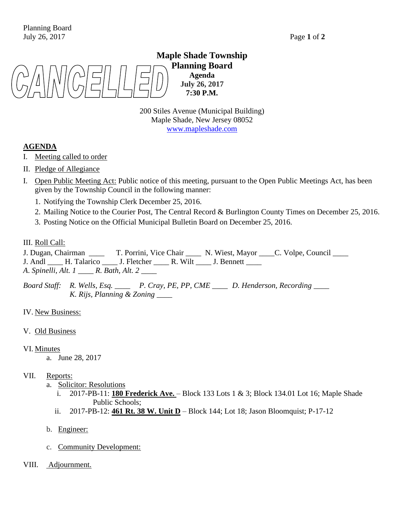# **Maple Shade Township Planning Board Agenda July 26, 2017 7:30 P.M.**

200 Stiles Avenue (Municipal Building) Maple Shade, New Jersey 08052 [www.mapleshade.com](http://www.mapleshade.com/)

### **AGENDA**

- I. Meeting called to order
- II. Pledge of Allegiance
- I. Open Public Meeting Act: Public notice of this meeting, pursuant to the Open Public Meetings Act, has been given by the Township Council in the following manner:
	- 1. Notifying the Township Clerk December 25, 2016.
	- 2. Mailing Notice to the Courier Post, The Central Record & Burlington County Times on December 25, 2016.
	- 3. Posting Notice on the Official Municipal Bulletin Board on December 25, 2016.

#### III. Roll Call:

- J. Dugan, Chairman  $\qquad$  T. Porrini, Vice Chair  $\qquad$  N. Wiest, Mayor  $\qquad$  C. Volpe, Council  $\qquad$
- J. Andl \_\_\_\_ H. Talarico \_\_\_\_ J. Fletcher \_\_\_\_ R. Wilt \_\_\_\_ J. Bennett \_\_\_\_
- *A*. *Spinelli, Alt. 1 \_\_\_\_ R. Bath, Alt. 2 \_\_\_\_*

*Board Staff: R. Wells, Esq. \_\_\_\_ P. Cray, PE, PP, CME \_\_\_\_ D. Henderson, Recording \_\_\_\_ K. Rijs, Planning & Zoning \_\_\_\_*

IV. New Business:

V. Old Business

#### VI. Minutes

a. June 28, 2017

- a. Solicitor: Resolutions
	- i. 2017-PB-11: **180 Frederick Ave.**  Block 133 Lots 1 & 3; Block 134.01 Lot 16; Maple Shade Public Schools;
	- ii. 2017-PB-12: **461 Rt. 38 W. Unit D** Block 144; Lot 18; Jason Bloomquist; P-17-12
- b. Engineer:
- c. Community Development:
- VIII. Adjournment.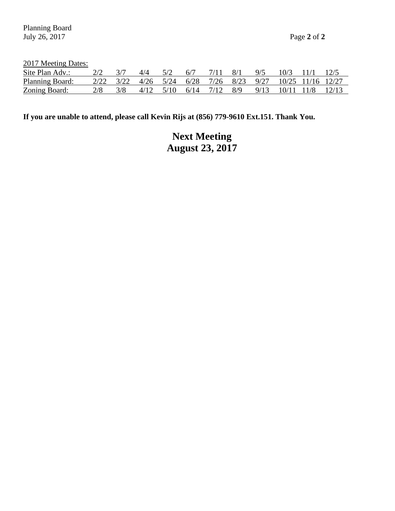2017 Meeting Dates:

| Site Plan Adv.: |                                                           | 4/4 |                                   | 6/7 | 8/1 | 9/5 | 10/3                          |  |
|-----------------|-----------------------------------------------------------|-----|-----------------------------------|-----|-----|-----|-------------------------------|--|
| Planning Board: | 2/22 3/22 4/26 5/24 6/28 7/26 8/23 9/27 10/25 11/16 12/27 |     |                                   |     |     |     |                               |  |
| Zoning Board:   |                                                           |     | $4/12$ $5/10$ $6/14$ $7/12$ $8/9$ |     |     |     | $9/13$ $10/11$ $11/8$ $12/13$ |  |

**If you are unable to attend, please call Kevin Rijs at (856) 779-9610 Ext.151. Thank You.**

# **Next Meeting August 23, 2017**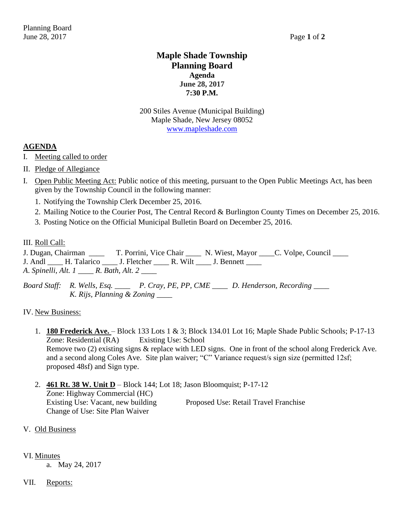# **Maple Shade Township Planning Board Agenda June 28, 2017 7:30 P.M.**

200 Stiles Avenue (Municipal Building) Maple Shade, New Jersey 08052 [www.mapleshade.com](http://www.mapleshade.com/)

### **AGENDA**

- I. Meeting called to order
- II. Pledge of Allegiance
- I. Open Public Meeting Act: Public notice of this meeting, pursuant to the Open Public Meetings Act, has been given by the Township Council in the following manner:
	- 1. Notifying the Township Clerk December 25, 2016.
	- 2. Mailing Notice to the Courier Post, The Central Record & Burlington County Times on December 25, 2016.
	- 3. Posting Notice on the Official Municipal Bulletin Board on December 25, 2016.

#### III. Roll Call:

- J. Dugan, Chairman  $\qquad$  T. Porrini, Vice Chair  $\qquad$  N. Wiest, Mayor  $\qquad$  C. Volpe, Council  $\qquad$ J. Andl \_\_\_\_ H. Talarico \_\_\_\_ J. Fletcher \_\_\_\_ R. Wilt \_\_\_\_ J. Bennett \_\_\_\_
- *A*. *Spinelli, Alt. 1 \_\_\_\_ R. Bath, Alt. 2 \_\_\_\_*
- *Board Staff: R. Wells, Esq. \_\_\_\_ P. Cray, PE, PP, CME \_\_\_\_ D. Henderson, Recording \_\_\_\_ K. Rijs, Planning & Zoning \_\_\_\_*

#### IV. New Business:

- 1. **180 Frederick Ave.**  Block 133 Lots 1 & 3; Block 134.01 Lot 16; Maple Shade Public Schools; P-17-13 Zone: Residential (RA) Existing Use: School Remove two (2) existing signs & replace with LED signs. One in front of the school along Frederick Ave. and a second along Coles Ave. Site plan waiver; "C" Variance request/s sign size (permitted 12sf; proposed 48sf) and Sign type.
- 2. **461 Rt. 38 W. Unit D** Block 144; Lot 18; Jason Bloomquist; P-17-12 Zone: Highway Commercial (HC) Existing Use: Vacant, new building Proposed Use: Retail Travel Franchise Change of Use: Site Plan Waiver

#### V. Old Business

#### VI. Minutes

a. May 24, 2017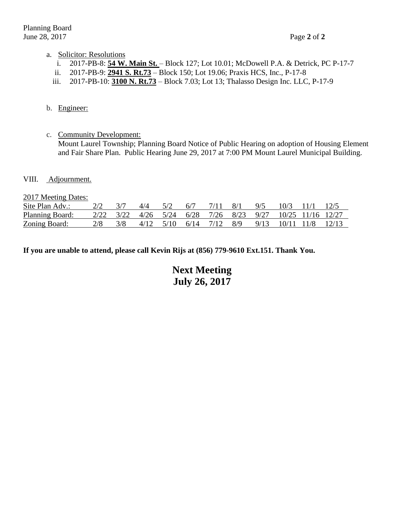#### a. Solicitor: Resolutions

- i. 2017-PB-8: **54 W. Main St.**  Block 127; Lot 10.01; McDowell P.A. & Detrick, PC P-17-7
- ii. 2017-PB-9: **2941 S. Rt.73** Block 150; Lot 19.06; Praxis HCS, Inc., P-17-8
- iii. 2017-PB-10: **3100 N. Rt.73** Block 7.03; Lot 13; Thalasso Design Inc. LLC, P-17-9

#### b. Engineer:

- c. Community Development: Mount Laurel Township; Planning Board Notice of Public Hearing on adoption of Housing Element and Fair Share Plan. Public Hearing June 29, 2017 at 7:00 PM Mount Laurel Municipal Building.
- VIII. Adjournment.

2017 Meeting Dates:

| Site Plan Adv.:        |           | 4/4       | 6/7  |          | - 8/1 | 9/5  | 10/3                                            |  |
|------------------------|-----------|-----------|------|----------|-------|------|-------------------------------------------------|--|
| <b>Planning Board:</b> | 2/22 3/22 |           |      |          |       |      | 4/26 5/24 6/28 7/26 8/23 9/27 10/25 11/16 12/27 |  |
| Zoning Board:          |           | 4/12 5/10 | 6/14 | 7/12 8/9 |       | 9/13 | $10/11$ $11/8$ $12/13$                          |  |

**If you are unable to attend, please call Kevin Rijs at (856) 779-9610 Ext.151. Thank You.**

**Next Meeting July 26, 2017**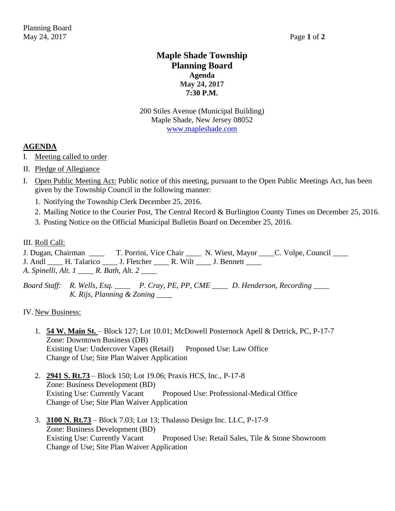# **Maple Shade Township Planning Board Agenda May 24, 2017 7:30 P.M.**

200 Stiles Avenue (Municipal Building) Maple Shade, New Jersey 08052 [www.mapleshade.com](http://www.mapleshade.com/)

### **AGENDA**

- I. Meeting called to order
- II. Pledge of Allegiance
- I. Open Public Meeting Act: Public notice of this meeting, pursuant to the Open Public Meetings Act, has been given by the Township Council in the following manner:
	- 1. Notifying the Township Clerk December 25, 2016.
	- 2. Mailing Notice to the Courier Post, The Central Record & Burlington County Times on December 25, 2016.
	- 3. Posting Notice on the Official Municipal Bulletin Board on December 25, 2016.

#### III. Roll Call:

- J. Dugan, Chairman  $\qquad$  T. Porrini, Vice Chair  $\qquad$  N. Wiest, Mayor  $\qquad$  C. Volpe, Council  $\qquad$
- J. Andl \_\_\_\_ H. Talarico \_\_\_\_ J. Fletcher \_\_\_\_ R. Wilt \_\_\_\_ J. Bennett \_\_\_\_
- *A*. *Spinelli, Alt. 1 \_\_\_\_ R. Bath, Alt. 2 \_\_\_\_*
- *Board Staff: R. Wells, Esq. \_\_\_\_ P. Cray, PE, PP, CME \_\_\_\_ D. Henderson, Recording \_\_\_\_ K. Rijs, Planning & Zoning \_\_\_\_*

#### IV. New Business:

- 1. **54 W. Main St.**  Block 127; Lot 10.01; McDowell Posternock Apell & Detrick, PC, P-17-7 Zone: Downtown Business (DB) Existing Use: Undercover Vapes (Retail) Proposed Use: Law Office Change of Use; Site Plan Waiver Application
- 2. **2941 S. Rt.73** Block 150; Lot 19.06; Praxis HCS, Inc., P-17-8 Zone: Business Development (BD) Existing Use: Currently Vacant Proposed Use: Professional-Medical Office Change of Use; Site Plan Waiver Application
- 3. **3100 N. Rt.73** Block 7.03; Lot 13; Thalasso Design Inc. LLC, P-17-9 Zone: Business Development (BD) Proposed Use: Retail Sales, Tile & Stone Showroom Change of Use; Site Plan Waiver Application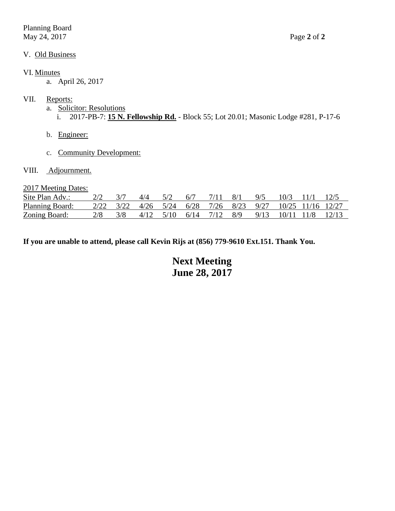Planning Board May 24, 2017 Page **2** of **2**

#### VI. Minutes

a. April 26, 2017

# VII. Reports:

- a. Solicitor: Resolutions
	- i. 2017-PB-7: **15 N. Fellowship Rd.** Block 55; Lot 20.01; Masonic Lodge #281, P-17-6
- b. Engineer:
- c. Community Development:
- VIII. Adjournment.

2017 Meeting Dates:

| Site Plan Adv.:        |           | 4/4 |                                   | 6/7 | 8/1                                             | 9/5                   | 10/3 |  |
|------------------------|-----------|-----|-----------------------------------|-----|-------------------------------------------------|-----------------------|------|--|
| <b>Planning Board:</b> | 2/22 3/22 |     |                                   |     | 4/26 5/24 6/28 7/26 8/23 9/27 10/25 11/16 12/27 |                       |      |  |
| <u>Zoning Board:</u>   |           |     | $4/12$ $5/10$ $6/14$ $7/12$ $8/9$ |     |                                                 | 9/13 10/11 11/8 12/13 |      |  |

**If you are unable to attend, please call Kevin Rijs at (856) 779-9610 Ext.151. Thank You.**

**Next Meeting June 28, 2017**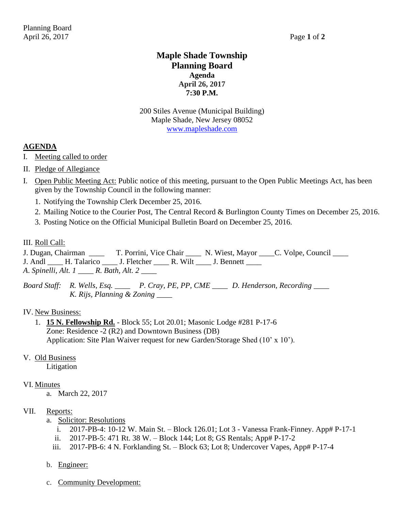# **Maple Shade Township Planning Board Agenda April 26, 2017 7:30 P.M.**

200 Stiles Avenue (Municipal Building) Maple Shade, New Jersey 08052 [www.mapleshade.com](http://www.mapleshade.com/)

### **AGENDA**

- I. Meeting called to order
- II. Pledge of Allegiance
- I. Open Public Meeting Act: Public notice of this meeting, pursuant to the Open Public Meetings Act, has been given by the Township Council in the following manner:
	- 1. Notifying the Township Clerk December 25, 2016.
	- 2. Mailing Notice to the Courier Post, The Central Record & Burlington County Times on December 25, 2016.
	- 3. Posting Notice on the Official Municipal Bulletin Board on December 25, 2016.

#### III. Roll Call:

- J. Dugan, Chairman  $\qquad$  T. Porrini, Vice Chair  $\qquad$  N. Wiest, Mayor  $\qquad$  C. Volpe, Council  $\qquad$ J. Andl \_\_\_\_ H. Talarico \_\_\_\_ J. Fletcher \_\_\_\_ R. Wilt \_\_\_\_ J. Bennett \_\_\_\_
- *A*. *Spinelli, Alt. 1 \_\_\_\_ R. Bath, Alt. 2 \_\_\_\_*
- *Board Staff: R. Wells, Esq. \_\_\_\_ P. Cray, PE, PP, CME \_\_\_\_ D. Henderson, Recording \_\_\_\_ K. Rijs, Planning & Zoning \_\_\_\_*

#### IV. New Business:

1. **15 N. Fellowship Rd.** - Block 55; Lot 20.01; Masonic Lodge #281 P-17-6 Zone: Residence -2 (R2) and Downtown Business (DB) Application: Site Plan Waiver request for new Garden/Storage Shed (10' x 10').

#### V. Old Business

Litigation

#### VI. Minutes

a. March 22, 2017

- a. Solicitor: Resolutions
	- i. 2017-PB-4: 10-12 W. Main St. Block 126.01; Lot 3 Vanessa Frank-Finney. App# P-17-1
	- ii. 2017-PB-5: 471 Rt. 38 W. Block 144; Lot 8; GS Rentals; App# P-17-2
	- iii. 2017-PB-6: 4 N. Forklanding St. Block 63; Lot 8; Undercover Vapes, App# P-17-4
- b. Engineer:
- c. Community Development: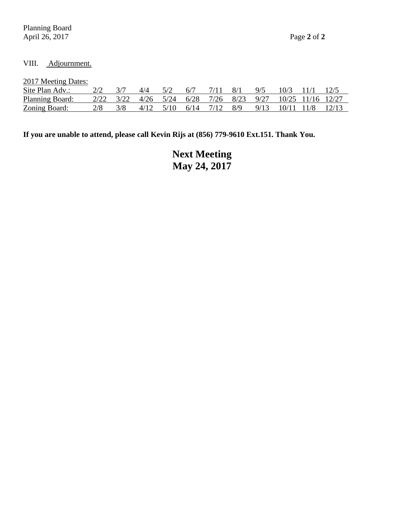Planning Board April 26, 2017 Page **2** of **2**

# VIII. Adjournment.

2017 Meeting Dates:

| Site Plan Adv.:        |  | 4/4 |  |                                   | 8/1 | 9/5 | 10/3                                                      |  |
|------------------------|--|-----|--|-----------------------------------|-----|-----|-----------------------------------------------------------|--|
| <b>Planning Board:</b> |  |     |  |                                   |     |     | 2/22 3/22 4/26 5/24 6/28 7/26 8/23 9/27 10/25 11/16 12/27 |  |
| Zoning Board:          |  |     |  | $4/12$ $5/10$ $6/14$ $7/12$ $8/9$ |     |     | $9/13$ $10/11$ $11/8$ $12/13$                             |  |

**If you are unable to attend, please call Kevin Rijs at (856) 779-9610 Ext.151. Thank You.**

**Next Meeting May 24, 2017**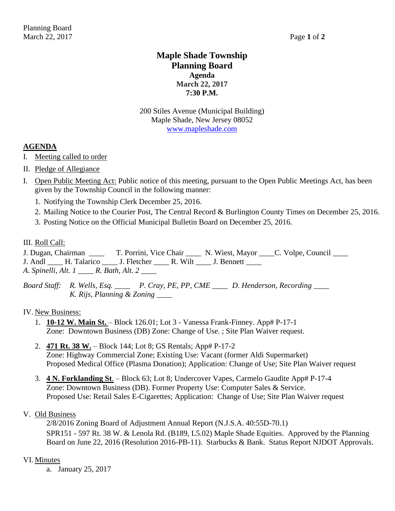# **Maple Shade Township Planning Board Agenda March 22, 2017 7:30 P.M.**

200 Stiles Avenue (Municipal Building) Maple Shade, New Jersey 08052 [www.mapleshade.com](http://www.mapleshade.com/)

### **AGENDA**

- I. Meeting called to order
- II. Pledge of Allegiance
- I. Open Public Meeting Act: Public notice of this meeting, pursuant to the Open Public Meetings Act, has been given by the Township Council in the following manner:
	- 1. Notifying the Township Clerk December 25, 2016.
	- 2. Mailing Notice to the Courier Post, The Central Record & Burlington County Times on December 25, 2016.
	- 3. Posting Notice on the Official Municipal Bulletin Board on December 25, 2016.

#### III. Roll Call:

- J. Dugan, Chairman  $\qquad$  T. Porrini, Vice Chair  $\qquad$  N. Wiest, Mayor  $\qquad$  C. Volpe, Council  $\qquad$
- J. Andl \_\_\_\_ H. Talarico \_\_\_\_ J. Fletcher \_\_\_\_ R. Wilt \_\_\_\_ J. Bennett \_\_\_\_
- *A*. *Spinelli, Alt. 1 \_\_\_\_ R. Bath, Alt. 2 \_\_\_\_*
- *Board Staff: R. Wells, Esq. \_\_\_\_ P. Cray, PE, PP, CME \_\_\_\_ D. Henderson, Recording \_\_\_\_ K. Rijs, Planning & Zoning \_\_\_\_*

#### IV. New Business:

- 1. **10-12 W. Main St.** Block 126.01; Lot 3 Vanessa Frank-Finney. App# P-17-1 Zone: Downtown Business (DB) Zone: Change of Use. ; Site Plan Waiver request.
- 2. **471 Rt. 38 W.** Block 144; Lot 8; GS Rentals; App# P-17-2 Zone: Highway Commercial Zone; Existing Use: Vacant (former Aldi Supermarket) Proposed Medical Office (Plasma Donation); Application: Change of Use; Site Plan Waiver request
- 3. **4 N. Forklanding St**. Block 63; Lot 8; Undercover Vapes, Carmelo Gaudite App# P-17-4 Zone: Downtown Business (DB). Former Property Use: Computer Sales & Service. Proposed Use: Retail Sales E-Cigarettes; Application: Change of Use; Site Plan Waiver request

#### V. Old Business

2/8/2016 Zoning Board of Adjustment Annual Report (N.J.S.A. 40:55D-70.1) SPR151 - 597 Rt. 38 W. & Lenola Rd. (B189, L5.02) Maple Shade Equities. Approved by the Planning Board on June 22, 2016 (Resolution 2016-PB-11). Starbucks & Bank. Status Report NJDOT Approvals.

#### VI. Minutes

a. January 25, 2017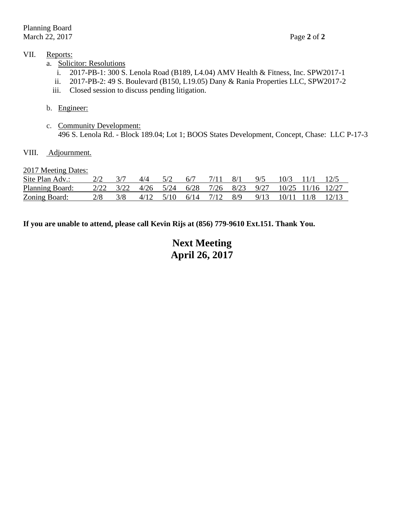### VII. Reports:

- a. Solicitor: Resolutions
	- i. 2017-PB-1: 300 S. Lenola Road (B189, L4.04) AMV Health & Fitness, Inc. SPW2017-1
	- ii. 2017-PB-2: 49 S. Boulevard (B150, L19.05) Dany & Rania Properties LLC, SPW2017-2
	- iii. Closed session to discuss pending litigation.

#### b. Engineer:

c. Community Development: 496 S. Lenola Rd. - Block 189.04; Lot 1; BOOS States Development, Concept, Chase: LLC P-17-3

#### VIII. Adjournment.

#### 2017 Meeting Dates:

| Site Plan Adv.:        |  | 4/4 | 6/7 |                                   | 8/1 | Q/5 | 10/3                                                                                                                                                                    |  |
|------------------------|--|-----|-----|-----------------------------------|-----|-----|-------------------------------------------------------------------------------------------------------------------------------------------------------------------------|--|
| <b>Planning Board:</b> |  |     |     |                                   |     |     | $\frac{2}{22}$ $\frac{3}{22}$ $\frac{4}{26}$ $\frac{5}{24}$ $\frac{6}{28}$ $\frac{7}{26}$ $\frac{8}{23}$ $\frac{9}{27}$ $\frac{10}{25}$ $\frac{11}{16}$ $\frac{12}{27}$ |  |
| Zoning Board:          |  |     |     | $4/12$ $5/10$ $6/14$ $7/12$ $8/9$ |     |     | 9/13 10/11 11/8 12/13                                                                                                                                                   |  |

**If you are unable to attend, please call Kevin Rijs at (856) 779-9610 Ext.151. Thank You.**

# **Next Meeting April 26, 2017**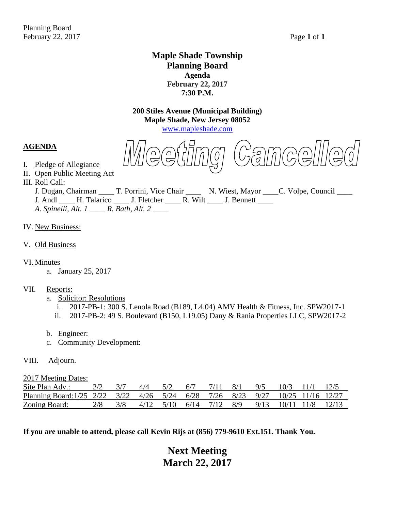# **Maple Shade Township Planning Board Agenda February 22, 2017 7:30 P.M.**

**200 Stiles Avenue (Municipal Building) Maple Shade, New Jersey 08052**

[www.mapleshade.com](http://www.mapleshade.com/)

**AGENDA**

FAMCQ||||E

II. Open Public Meeting Act III. Roll Call:

I. Pledge of Allegiance

J. Dugan, Chairman \_\_\_\_\_ T. Porrini, Vice Chair \_\_\_\_\_ N. Wiest, Mayor \_\_\_\_C. Volpe, Council \_\_\_\_ J. Andl \_\_\_\_ H. Talarico \_\_\_\_ J. Fletcher \_\_\_\_ R. Wilt \_\_\_\_ J. Bennett \_\_\_\_ *A*. *Spinelli, Alt. 1 \_\_\_\_ R. Bath, Alt. 2 \_\_\_\_*

- IV. New Business:
- V. Old Business
- VI. Minutes
	- a. January 25, 2017
- VII. Reports:
	- a. Solicitor: Resolutions
		- i. 2017-PB-1: 300 S. Lenola Road (B189, L4.04) AMV Health & Fitness, Inc. SPW2017-1
		- ii. 2017-PB-2: 49 S. Boulevard (B150, L19.05) Dany & Rania Properties LLC, SPW2017-2
	- b. Engineer:
	- c. Community Development:
- VIII. Adjourn.

2017 Meeting Dates:

| Site Plan Adv.:                                                               |  | 4/4 | 6/7 |  | 9/5                                                             | 10/3 |  |
|-------------------------------------------------------------------------------|--|-----|-----|--|-----------------------------------------------------------------|------|--|
| Planning Board:1/25 2/22 3/22 4/26 5/24 6/28 7/26 8/23 9/27 10/25 11/16 12/27 |  |     |     |  |                                                                 |      |  |
| Zoning Board:                                                                 |  |     |     |  | $4/12$ $5/10$ $6/14$ $7/12$ $8/9$ $9/13$ $10/11$ $11/8$ $12/13$ |      |  |

**If you are unable to attend, please call Kevin Rijs at (856) 779-9610 Ext.151. Thank You.**

# **Next Meeting March 22, 2017**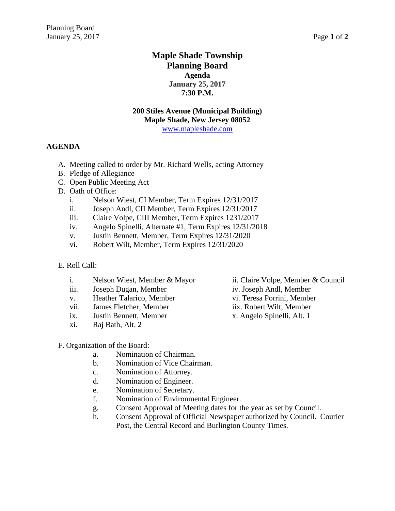# **Maple Shade Township Planning Board Agenda January 25, 2017 7:30 P.M.**

#### **200 Stiles Avenue (Municipal Building) Maple Shade, New Jersey 08052** [www.mapleshade.com](http://www.mapleshade.com/)

#### **AGENDA**

- A. Meeting called to order by Mr. Richard Wells, acting Attorney
- B. Pledge of Allegiance
- C. Open Public Meeting Act
- D. Oath of Office:
	- i. Nelson Wiest, CI Member, Term Expires 12/31/2017
	- ii. Joseph Andl, CII Member, Term Expires 12/31/2017
	- iii. Claire Volpe, CIII Member, Term Expires 1231/2017
	- iv. Angelo Spinelli, Alternate #1, Term Expires 12/31/2018
	- v. Justin Bennett, Member, Term Expires 12/31/2020
	- vi. Robert Wilt, Member, Term Expires 12/31/2020
- E. Roll Call:
	- i. Nelson Wiest, Member & Mayor ii. Claire Volpe, Member & Council
	- iii. Joseph Dugan, Member iv. Joseph Andl, Member
	- v. Heather Talarico, Member vi. Teresa Porrini, Member
	- vii. James Fletcher, Member iix. Robert Wilt, Member
	- ix. Justin Bennett, Member x. Angelo Spinelli, Alt. 1
	- xi. Raj Bath, Alt. 2

- 
- 
- 
- 

F. Organization of the Board:

- a. Nomination of Chairman.
- b. Nomination of Vice Chairman.
- c. Nomination of Attorney.
- d. Nomination of Engineer.
- e. Nomination of Secretary.
- f. Nomination of Environmental Engineer.
- g. Consent Approval of Meeting dates for the year as set by Council.
- h. Consent Approval of Official Newspaper authorized by Council. Courier Post, the Central Record and Burlington County Times.